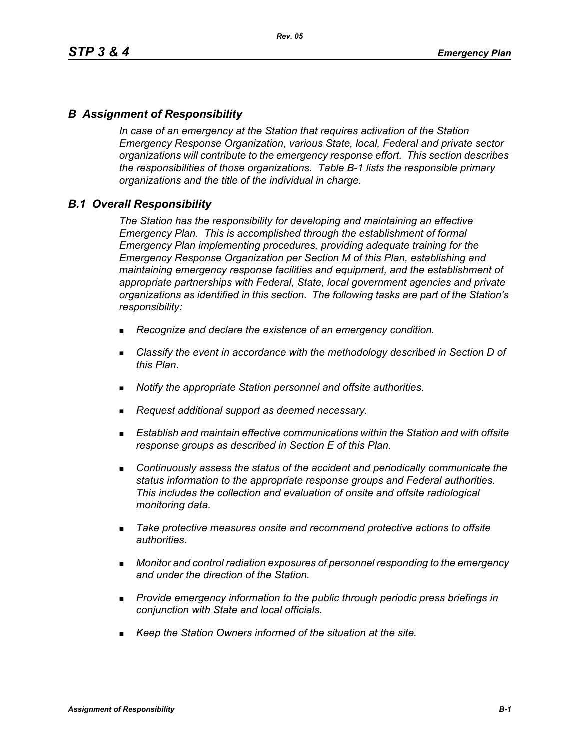### *B Assignment of Responsibility*

*In case of an emergency at the Station that requires activation of the Station Emergency Response Organization, various State, local, Federal and private sector organizations will contribute to the emergency response effort. This section describes the responsibilities of those organizations. Table B-1 lists the responsible primary organizations and the title of the individual in charge.*

### *B.1 Overall Responsibility*

*The Station has the responsibility for developing and maintaining an effective Emergency Plan. This is accomplished through the establishment of formal Emergency Plan implementing procedures, providing adequate training for the Emergency Response Organization per Section M of this Plan, establishing and maintaining emergency response facilities and equipment, and the establishment of appropriate partnerships with Federal, State, local government agencies and private organizations as identified in this section. The following tasks are part of the Station's responsibility:*

- *Recognize and declare the existence of an emergency condition.*
- *Classify the event in accordance with the methodology described in Section D of this Plan.*
- *Notify the appropriate Station personnel and offsite authorities.*
- *Request additional support as deemed necessary.*
- **Establish and maintain effective communications within the Station and with offsite** *response groups as described in Section E of this Plan.*
- *Continuously assess the status of the accident and periodically communicate the status information to the appropriate response groups and Federal authorities. This includes the collection and evaluation of onsite and offsite radiological monitoring data.*
- *Take protective measures onsite and recommend protective actions to offsite authorities.*
- *Monitor and control radiation exposures of personnel responding to the emergency and under the direction of the Station.*
- *Provide emergency information to the public through periodic press briefings in conjunction with State and local officials.*
- *Keep the Station Owners informed of the situation at the site.*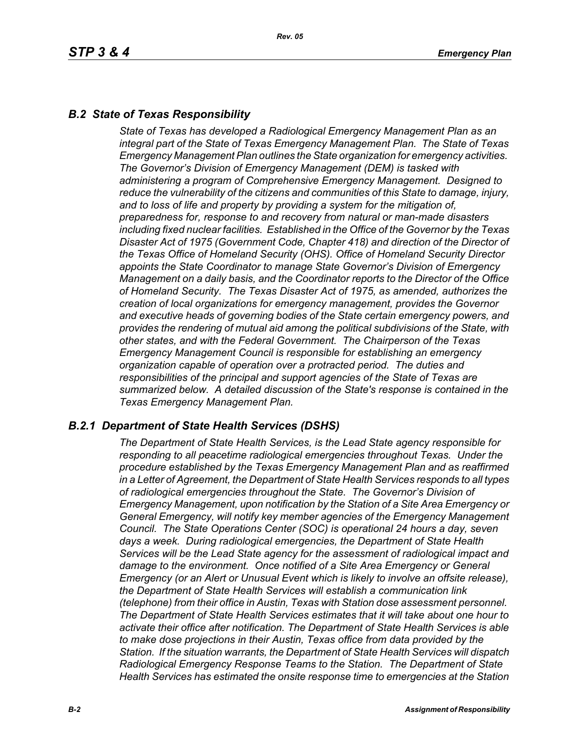### *B.2 State of Texas Responsibility*

*State of Texas has developed a Radiological Emergency Management Plan as an integral part of the State of Texas Emergency Management Plan. The State of Texas Emergency Management Plan outlines the State organization for emergency activities. The Governor's Division of Emergency Management (DEM) is tasked with administering a program of Comprehensive Emergency Management. Designed to reduce the vulnerability of the citizens and communities of this State to damage, injury, and to loss of life and property by providing a system for the mitigation of, preparedness for, response to and recovery from natural or man-made disasters including fixed nuclear facilities. Established in the Office of the Governor by the Texas Disaster Act of 1975 (Government Code, Chapter 418) and direction of the Director of the Texas Office of Homeland Security (OHS). Office of Homeland Security Director appoints the State Coordinator to manage State Governor's Division of Emergency Management on a daily basis, and the Coordinator reports to the Director of the Office of Homeland Security. The Texas Disaster Act of 1975, as amended, authorizes the creation of local organizations for emergency management, provides the Governor and executive heads of governing bodies of the State certain emergency powers, and provides the rendering of mutual aid among the political subdivisions of the State, with other states, and with the Federal Government. The Chairperson of the Texas Emergency Management Council is responsible for establishing an emergency organization capable of operation over a protracted period. The duties and responsibilities of the principal and support agencies of the State of Texas are summarized below. A detailed discussion of the State's response is contained in the Texas Emergency Management Plan.*

### *B.2.1 Department of State Health Services (DSHS)*

*The Department of State Health Services, is the Lead State agency responsible for responding to all peacetime radiological emergencies throughout Texas. Under the procedure established by the Texas Emergency Management Plan and as reaffirmed in a Letter of Agreement, the Department of State Health Services responds to all types of radiological emergencies throughout the State. The Governor's Division of Emergency Management, upon notification by the Station of a Site Area Emergency or General Emergency, will notify key member agencies of the Emergency Management Council. The State Operations Center (SOC) is operational 24 hours a day, seven days a week. During radiological emergencies, the Department of State Health Services will be the Lead State agency for the assessment of radiological impact and damage to the environment. Once notified of a Site Area Emergency or General Emergency (or an Alert or Unusual Event which is likely to involve an offsite release), the Department of State Health Services will establish a communication link (telephone) from their office in Austin, Texas with Station dose assessment personnel. The Department of State Health Services estimates that it will take about one hour to activate their office after notification. The Department of State Health Services is able to make dose projections in their Austin, Texas office from data provided by the Station. If the situation warrants, the Department of State Health Services will dispatch Radiological Emergency Response Teams to the Station. The Department of State Health Services has estimated the onsite response time to emergencies at the Station*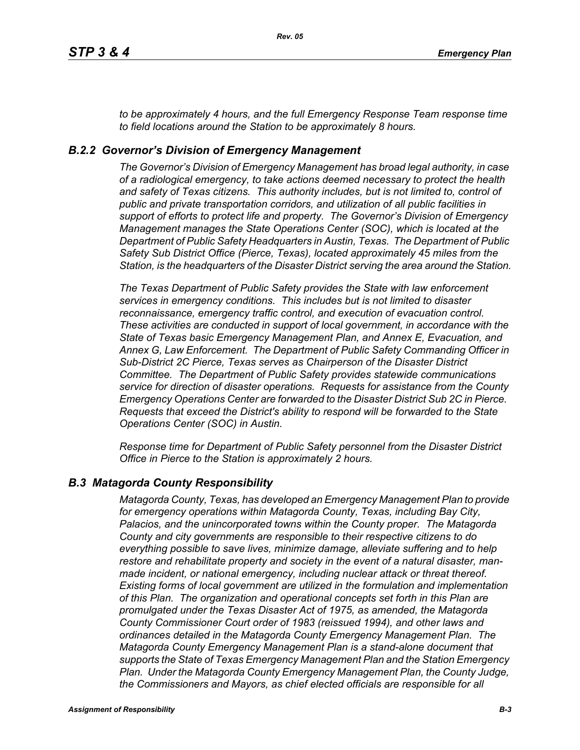*to be approximately 4 hours, and the full Emergency Response Team response time to field locations around the Station to be approximately 8 hours.*

### *B.2.2 Governor's Division of Emergency Management*

*The Governor's Division of Emergency Management has broad legal authority, in case of a radiological emergency, to take actions deemed necessary to protect the health and safety of Texas citizens. This authority includes, but is not limited to, control of public and private transportation corridors, and utilization of all public facilities in support of efforts to protect life and property. The Governor's Division of Emergency Management manages the State Operations Center (SOC), which is located at the Department of Public Safety Headquarters in Austin, Texas. The Department of Public Safety Sub District Office (Pierce, Texas), located approximately 45 miles from the Station, is the headquarters of the Disaster District serving the area around the Station.*

*The Texas Department of Public Safety provides the State with law enforcement services in emergency conditions. This includes but is not limited to disaster reconnaissance, emergency traffic control, and execution of evacuation control. These activities are conducted in support of local government, in accordance with the State of Texas basic Emergency Management Plan, and Annex E, Evacuation, and Annex G, Law Enforcement. The Department of Public Safety Commanding Officer in Sub-District 2C Pierce, Texas serves as Chairperson of the Disaster District Committee. The Department of Public Safety provides statewide communications service for direction of disaster operations. Requests for assistance from the County Emergency Operations Center are forwarded to the Disaster District Sub 2C in Pierce. Requests that exceed the District's ability to respond will be forwarded to the State Operations Center (SOC) in Austin.* 

*Response time for Department of Public Safety personnel from the Disaster District Office in Pierce to the Station is approximately 2 hours.*

### *B.3 Matagorda County Responsibility*

*Matagorda County, Texas, has developed an Emergency Management Plan to provide for emergency operations within Matagorda County, Texas, including Bay City, Palacios, and the unincorporated towns within the County proper. The Matagorda County and city governments are responsible to their respective citizens to do everything possible to save lives, minimize damage, alleviate suffering and to help restore and rehabilitate property and society in the event of a natural disaster, manmade incident, or national emergency, including nuclear attack or threat thereof. Existing forms of local government are utilized in the formulation and implementation of this Plan. The organization and operational concepts set forth in this Plan are promulgated under the Texas Disaster Act of 1975, as amended, the Matagorda County Commissioner Court order of 1983 (reissued 1994), and other laws and ordinances detailed in the Matagorda County Emergency Management Plan. The Matagorda County Emergency Management Plan is a stand-alone document that supports the State of Texas Emergency Management Plan and the Station Emergency Plan. Under the Matagorda County Emergency Management Plan, the County Judge, the Commissioners and Mayors, as chief elected officials are responsible for all*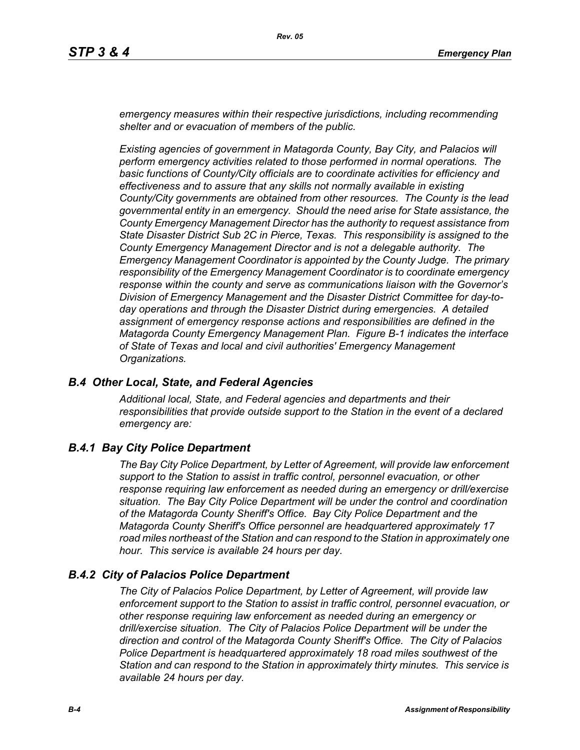*emergency measures within their respective jurisdictions, including recommending shelter and or evacuation of members of the public.* 

*Existing agencies of government in Matagorda County, Bay City, and Palacios will perform emergency activities related to those performed in normal operations. The basic functions of County/City officials are to coordinate activities for efficiency and effectiveness and to assure that any skills not normally available in existing County/City governments are obtained from other resources. The County is the lead governmental entity in an emergency. Should the need arise for State assistance, the County Emergency Management Director has the authority to request assistance from State Disaster District Sub 2C in Pierce, Texas. This responsibility is assigned to the County Emergency Management Director and is not a delegable authority. The Emergency Management Coordinator is appointed by the County Judge. The primary responsibility of the Emergency Management Coordinator is to coordinate emergency response within the county and serve as communications liaison with the Governor's Division of Emergency Management and the Disaster District Committee for day-today operations and through the Disaster District during emergencies. A detailed assignment of emergency response actions and responsibilities are defined in the Matagorda County Emergency Management Plan. Figure B-1 indicates the interface of State of Texas and local and civil authorities' Emergency Management Organizations.*

#### *B.4 Other Local, State, and Federal Agencies*

*Additional local, State, and Federal agencies and departments and their responsibilities that provide outside support to the Station in the event of a declared emergency are:*

### *B.4.1 Bay City Police Department*

*The Bay City Police Department, by Letter of Agreement, will provide law enforcement support to the Station to assist in traffic control, personnel evacuation, or other response requiring law enforcement as needed during an emergency or drill/exercise situation. The Bay City Police Department will be under the control and coordination of the Matagorda County Sheriff's Office. Bay City Police Department and the Matagorda County Sheriff's Office personnel are headquartered approximately 17 road miles northeast of the Station and can respond to the Station in approximately one hour. This service is available 24 hours per day.*

#### *B.4.2 City of Palacios Police Department*

*The City of Palacios Police Department, by Letter of Agreement, will provide law enforcement support to the Station to assist in traffic control, personnel evacuation, or other response requiring law enforcement as needed during an emergency or drill/exercise situation. The City of Palacios Police Department will be under the direction and control of the Matagorda County Sheriff's Office. The City of Palacios Police Department is headquartered approximately 18 road miles southwest of the Station and can respond to the Station in approximately thirty minutes. This service is available 24 hours per day.*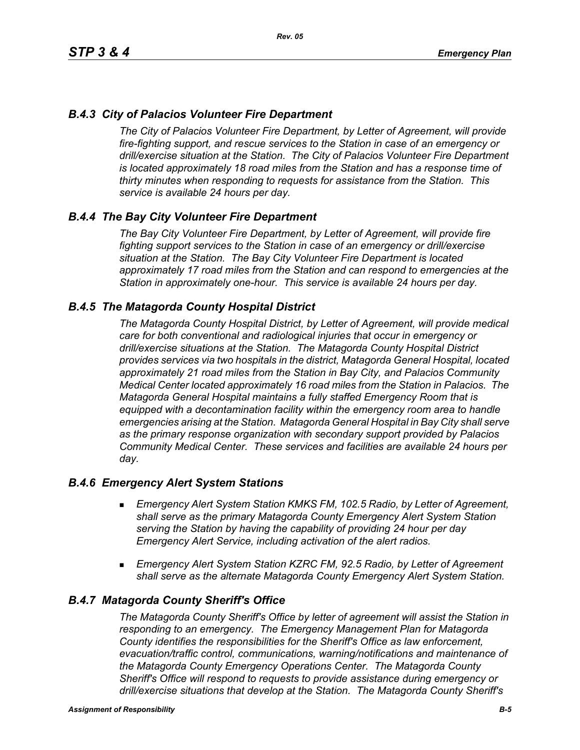# *B.4.3 City of Palacios Volunteer Fire Department*

*The City of Palacios Volunteer Fire Department, by Letter of Agreement, will provide fire-fighting support, and rescue services to the Station in case of an emergency or drill/exercise situation at the Station. The City of Palacios Volunteer Fire Department is located approximately 18 road miles from the Station and has a response time of thirty minutes when responding to requests for assistance from the Station. This service is available 24 hours per day.*

### *B.4.4 The Bay City Volunteer Fire Department*

*The Bay City Volunteer Fire Department, by Letter of Agreement, will provide fire fighting support services to the Station in case of an emergency or drill/exercise situation at the Station. The Bay City Volunteer Fire Department is located approximately 17 road miles from the Station and can respond to emergencies at the Station in approximately one-hour. This service is available 24 hours per day.*

### *B.4.5 The Matagorda County Hospital District*

*The Matagorda County Hospital District, by Letter of Agreement, will provide medical care for both conventional and radiological injuries that occur in emergency or drill/exercise situations at the Station. The Matagorda County Hospital District provides services via two hospitals in the district, Matagorda General Hospital, located approximately 21 road miles from the Station in Bay City, and Palacios Community Medical Center located approximately 16 road miles from the Station in Palacios. The Matagorda General Hospital maintains a fully staffed Emergency Room that is equipped with a decontamination facility within the emergency room area to handle emergencies arising at the Station. Matagorda General Hospital in Bay City shall serve as the primary response organization with secondary support provided by Palacios Community Medical Center. These services and facilities are available 24 hours per day.*

#### *B.4.6 Emergency Alert System Stations*

- *Emergency Alert System Station KMKS FM, 102.5 Radio, by Letter of Agreement, shall serve as the primary Matagorda County Emergency Alert System Station serving the Station by having the capability of providing 24 hour per day Emergency Alert Service, including activation of the alert radios.*
- *Emergency Alert System Station KZRC FM, 92.5 Radio, by Letter of Agreement shall serve as the alternate Matagorda County Emergency Alert System Station.*

#### *B.4.7 Matagorda County Sheriff's Office*

*The Matagorda County Sheriff's Office by letter of agreement will assist the Station in responding to an emergency. The Emergency Management Plan for Matagorda County identifies the responsibilities for the Sheriff's Office as law enforcement, evacuation/traffic control, communications, warning/notifications and maintenance of the Matagorda County Emergency Operations Center. The Matagorda County Sheriff's Office will respond to requests to provide assistance during emergency or drill/exercise situations that develop at the Station. The Matagorda County Sheriff's*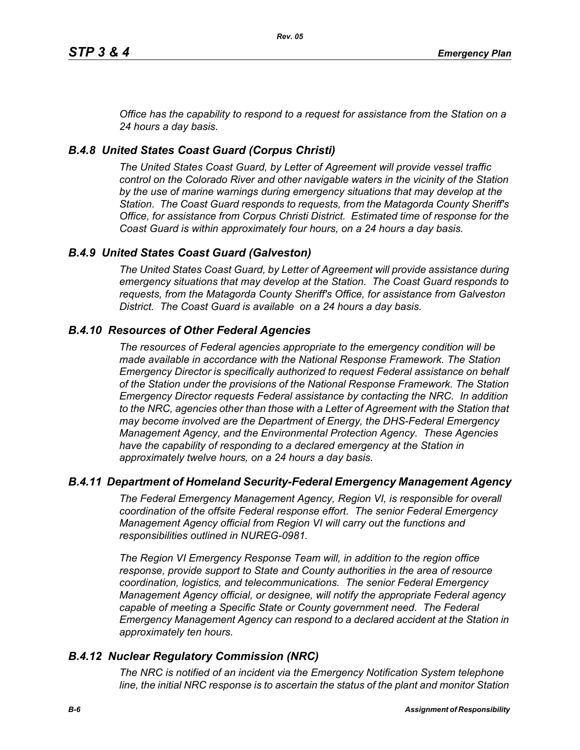*Office has the capability to respond to a request for assistance from the Station on a 24 hours a day basis.*

# *B.4.8 United States Coast Guard (Corpus Christi)*

*The United States Coast Guard, by Letter of Agreement will provide vessel traffic control on the Colorado River and other navigable waters in the vicinity of the Station by the use of marine warnings during emergency situations that may develop at the Station. The Coast Guard responds to requests, from the Matagorda County Sheriff's Office, for assistance from Corpus Christi District. Estimated time of response for the Coast Guard is within approximately four hours, on a 24 hours a day basis.*

# *B.4.9 United States Coast Guard (Galveston)*

*The United States Coast Guard, by Letter of Agreement will provide assistance during emergency situations that may develop at the Station. The Coast Guard responds to requests, from the Matagorda County Sheriff's Office, for assistance from Galveston District. The Coast Guard is available on a 24 hours a day basis.*

# *B.4.10 Resources of Other Federal Agencies*

*The resources of Federal agencies appropriate to the emergency condition will be made available in accordance with the National Response Framework. The Station Emergency Director is specifically authorized to request Federal assistance on behalf of the Station under the provisions of the National Response Framework. The Station Emergency Director requests Federal assistance by contacting the NRC. In addition*  to the NRC, agencies other than those with a Letter of Agreement with the Station that *may become involved are the Department of Energy, the DHS-Federal Emergency Management Agency, and the Environmental Protection Agency. These Agencies*  have the capability of responding to a declared emergency at the Station in *approximately twelve hours, on a 24 hours a day basis.*

### *B.4.11 Department of Homeland Security-Federal Emergency Management Agency*

*The Federal Emergency Management Agency, Region VI, is responsible for overall coordination of the offsite Federal response effort. The senior Federal Emergency Management Agency official from Region VI will carry out the functions and responsibilities outlined in NUREG-0981.*

*The Region VI Emergency Response Team will, in addition to the region office response, provide support to State and County authorities in the area of resource coordination, logistics, and telecommunications. The senior Federal Emergency Management Agency official, or designee, will notify the appropriate Federal agency*  capable of meeting a Specific State or County government need. The Federal *Emergency Management Agency can respond to a declared accident at the Station in approximately ten hours.*

### *B.4.12 Nuclear Regulatory Commission (NRC)*

*The NRC is notified of an incident via the Emergency Notification System telephone line, the initial NRC response is to ascertain the status of the plant and monitor Station*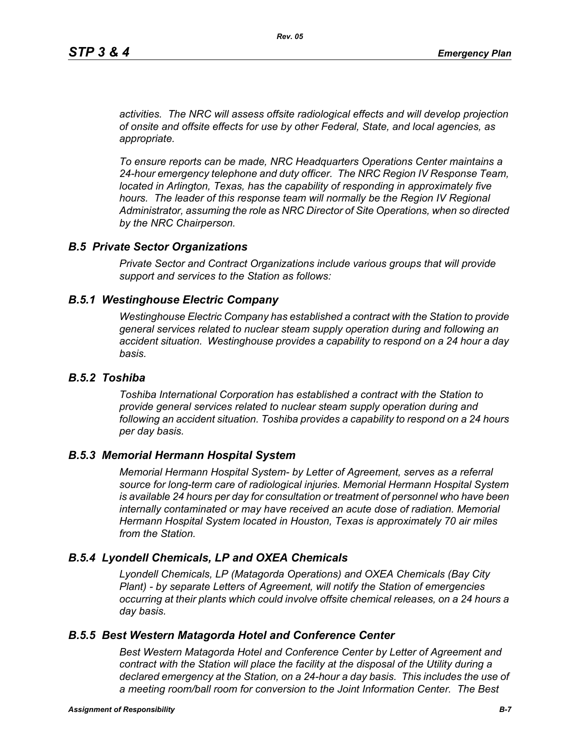*activities. The NRC will assess offsite radiological effects and will develop projection of onsite and offsite effects for use by other Federal, State, and local agencies, as appropriate.*

*To ensure reports can be made, NRC Headquarters Operations Center maintains a 24-hour emergency telephone and duty officer. The NRC Region IV Response Team, located in Arlington, Texas, has the capability of responding in approximately five* hours. The leader of this response team will normally be the Region IV Regional *Administrator, assuming the role as NRC Director of Site Operations, when so directed by the NRC Chairperson.*

#### *B.5 Private Sector Organizations*

*Private Sector and Contract Organizations include various groups that will provide support and services to the Station as follows:*

#### *B.5.1 Westinghouse Electric Company*

*Westinghouse Electric Company has established a contract with the Station to provide general services related to nuclear steam supply operation during and following an accident situation. Westinghouse provides a capability to respond on a 24 hour a day basis.* 

#### *B.5.2 Toshiba*

*Toshiba International Corporation has established a contract with the Station to provide general services related to nuclear steam supply operation during and following an accident situation. Toshiba provides a capability to respond on a 24 hours per day basis.*

#### *B.5.3 Memorial Hermann Hospital System*

*Memorial Hermann Hospital System- by Letter of Agreement, serves as a referral source for long-term care of radiological injuries. Memorial Hermann Hospital System is available 24 hours per day for consultation or treatment of personnel who have been*  internally contaminated or may have received an acute dose of radiation. Memorial *Hermann Hospital System located in Houston, Texas is approximately 70 air miles from the Station.*

#### *B.5.4 Lyondell Chemicals, LP and OXEA Chemicals*

*Lyondell Chemicals, LP (Matagorda Operations) and OXEA Chemicals (Bay City Plant) - by separate Letters of Agreement, will notify the Station of emergencies occurring at their plants which could involve offsite chemical releases, on a 24 hours a day basis.*

#### *B.5.5 Best Western Matagorda Hotel and Conference Center*

*Best Western Matagorda Hotel and Conference Center by Letter of Agreement and contract with the Station will place the facility at the disposal of the Utility during a declared emergency at the Station, on a 24-hour a day basis. This includes the use of a meeting room/ball room for conversion to the Joint Information Center. The Best*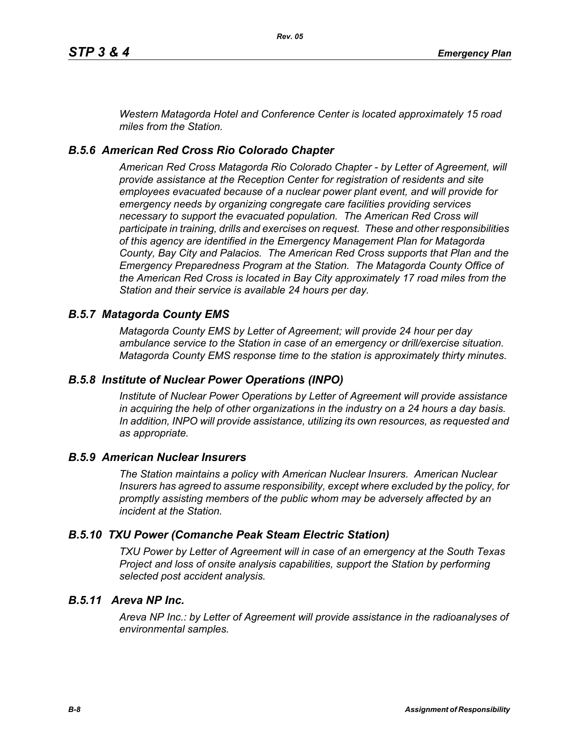*Western Matagorda Hotel and Conference Center is located approximately 15 road miles from the Station.*

### *B.5.6 American Red Cross Rio Colorado Chapter*

*American Red Cross Matagorda Rio Colorado Chapter - by Letter of Agreement, will provide assistance at the Reception Center for registration of residents and site employees evacuated because of a nuclear power plant event, and will provide for emergency needs by organizing congregate care facilities providing services necessary to support the evacuated population. The American Red Cross will participate in training, drills and exercises on request. These and other responsibilities of this agency are identified in the Emergency Management Plan for Matagorda County, Bay City and Palacios. The American Red Cross supports that Plan and the Emergency Preparedness Program at the Station. The Matagorda County Office of the American Red Cross is located in Bay City approximately 17 road miles from the Station and their service is available 24 hours per day.*

#### *B.5.7 Matagorda County EMS*

*Matagorda County EMS by Letter of Agreement; will provide 24 hour per day ambulance service to the Station in case of an emergency or drill/exercise situation. Matagorda County EMS response time to the station is approximately thirty minutes.*

#### *B.5.8 Institute of Nuclear Power Operations (INPO)*

*Institute of Nuclear Power Operations by Letter of Agreement will provide assistance in acquiring the help of other organizations in the industry on a 24 hours a day basis. In addition, INPO will provide assistance, utilizing its own resources, as requested and as appropriate.*

#### *B.5.9 American Nuclear Insurers*

*The Station maintains a policy with American Nuclear Insurers. American Nuclear Insurers has agreed to assume responsibility, except where excluded by the policy, for promptly assisting members of the public whom may be adversely affected by an incident at the Station.*

#### *B.5.10 TXU Power (Comanche Peak Steam Electric Station)*

*TXU Power by Letter of Agreement will in case of an emergency at the South Texas Project and loss of onsite analysis capabilities, support the Station by performing selected post accident analysis.*

### *B.5.11 Areva NP Inc.*

*Areva NP Inc.: by Letter of Agreement will provide assistance in the radioanalyses of environmental samples.*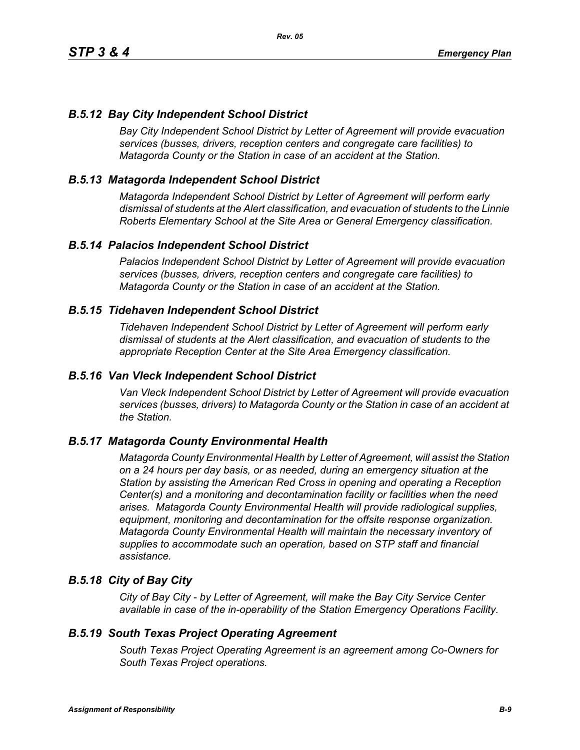# *B.5.12 Bay City Independent School District*

*Bay City Independent School District by Letter of Agreement will provide evacuation services (busses, drivers, reception centers and congregate care facilities) to Matagorda County or the Station in case of an accident at the Station.*

### *B.5.13 Matagorda Independent School District*

*Matagorda Independent School District by Letter of Agreement will perform early dismissal of students at the Alert classification, and evacuation of students to the Linnie Roberts Elementary School at the Site Area or General Emergency classification.*

### *B.5.14 Palacios Independent School District*

*Palacios Independent School District by Letter of Agreement will provide evacuation services (busses, drivers, reception centers and congregate care facilities) to Matagorda County or the Station in case of an accident at the Station.*

### *B.5.15 Tidehaven Independent School District*

*Tidehaven Independent School District by Letter of Agreement will perform early dismissal of students at the Alert classification, and evacuation of students to the appropriate Reception Center at the Site Area Emergency classification.*

#### *B.5.16 Van Vleck Independent School District*

*Van Vleck Independent School District by Letter of Agreement will provide evacuation services (busses, drivers) to Matagorda County or the Station in case of an accident at the Station.*

### *B.5.17 Matagorda County Environmental Health*

*Matagorda County Environmental Health by Letter of Agreement, will assist the Station on a 24 hours per day basis, or as needed, during an emergency situation at the Station by assisting the American Red Cross in opening and operating a Reception Center(s) and a monitoring and decontamination facility or facilities when the need arises. Matagorda County Environmental Health will provide radiological supplies, equipment, monitoring and decontamination for the offsite response organization. Matagorda County Environmental Health will maintain the necessary inventory of supplies to accommodate such an operation, based on STP staff and financial assistance.*

### *B.5.18 City of Bay City*

*City of Bay City - by Letter of Agreement, will make the Bay City Service Center available in case of the in-operability of the Station Emergency Operations Facility.*

#### *B.5.19 South Texas Project Operating Agreement*

*South Texas Project Operating Agreement is an agreement among Co-Owners for South Texas Project operations.*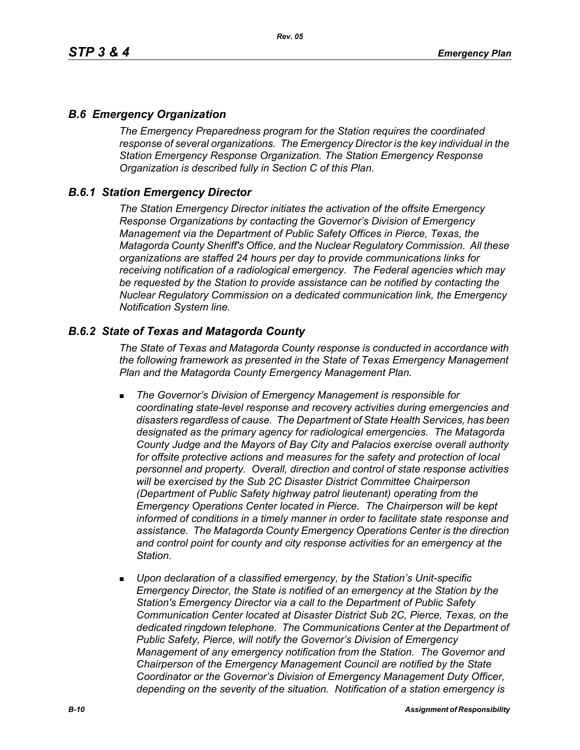### *B.6 Emergency Organization*

*The Emergency Preparedness program for the Station requires the coordinated response of several organizations. The Emergency Director is the key individual in the Station Emergency Response Organization. The Station Emergency Response Organization is described fully in Section C of this Plan.*

### *B.6.1 Station Emergency Director*

*The Station Emergency Director initiates the activation of the offsite Emergency Response Organizations by contacting the Governor's Division of Emergency Management via the Department of Public Safety Offices in Pierce, Texas, the Matagorda County Sheriff's Office, and the Nuclear Regulatory Commission. All these organizations are staffed 24 hours per day to provide communications links for receiving notification of a radiological emergency. The Federal agencies which may be requested by the Station to provide assistance can be notified by contacting the Nuclear Regulatory Commission on a dedicated communication link, the Emergency Notification System line.*

### *B.6.2 State of Texas and Matagorda County*

*The State of Texas and Matagorda County response is conducted in accordance with the following framework as presented in the State of Texas Emergency Management Plan and the Matagorda County Emergency Management Plan.*

- *The Governor's Division of Emergency Management is responsible for coordinating state-level response and recovery activities during emergencies and disasters regardless of cause. The Department of State Health Services, has been designated as the primary agency for radiological emergencies. The Matagorda County Judge and the Mayors of Bay City and Palacios exercise overall authority*  for offsite protective actions and measures for the safety and protection of local *personnel and property. Overall, direction and control of state response activities will be exercised by the Sub 2C Disaster District Committee Chairperson (Department of Public Safety highway patrol lieutenant) operating from the Emergency Operations Center located in Pierce. The Chairperson will be kept informed of conditions in a timely manner in order to facilitate state response and assistance. The Matagorda County Emergency Operations Center is the direction and control point for county and city response activities for an emergency at the Station.*
- *Upon declaration of a classified emergency, by the Station's Unit-specific Emergency Director, the State is notified of an emergency at the Station by the Station's Emergency Director via a call to the Department of Public Safety Communication Center located at Disaster District Sub 2C, Pierce, Texas, on the dedicated ringdown telephone. The Communications Center at the Department of Public Safety, Pierce, will notify the Governor's Division of Emergency Management of any emergency notification from the Station. The Governor and Chairperson of the Emergency Management Council are notified by the State Coordinator or the Governor's Division of Emergency Management Duty Officer, depending on the severity of the situation. Notification of a station emergency is*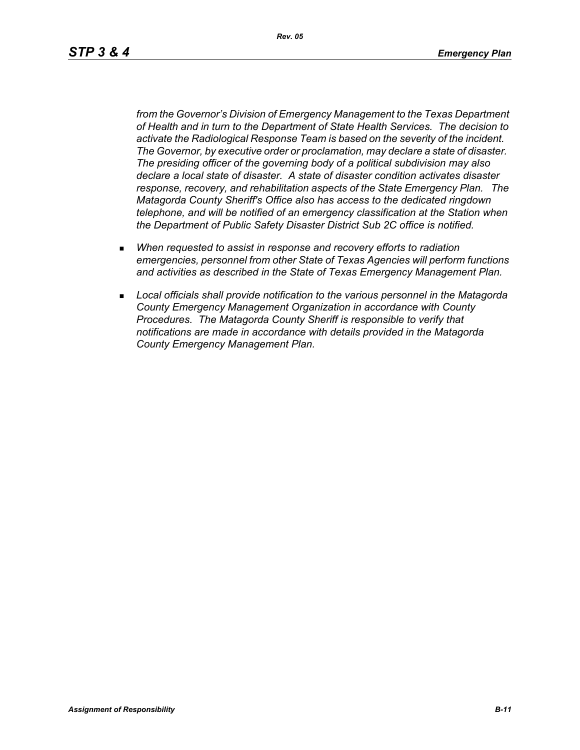*Rev. 05*

*from the Governor's Division of Emergency Management to the Texas Department of Health and in turn to the Department of State Health Services. The decision to activate the Radiological Response Team is based on the severity of the incident. The Governor, by executive order or proclamation, may declare a state of disaster. The presiding officer of the governing body of a political subdivision may also declare a local state of disaster. A state of disaster condition activates disaster response, recovery, and rehabilitation aspects of the State Emergency Plan. The Matagorda County Sheriff's Office also has access to the dedicated ringdown telephone, and will be notified of an emergency classification at the Station when the Department of Public Safety Disaster District Sub 2C office is notified.*

- *When requested to assist in response and recovery efforts to radiation emergencies, personnel from other State of Texas Agencies will perform functions and activities as described in the State of Texas Emergency Management Plan.*
- *Local officials shall provide notification to the various personnel in the Matagorda County Emergency Management Organization in accordance with County Procedures. The Matagorda County Sheriff is responsible to verify that notifications are made in accordance with details provided in the Matagorda County Emergency Management Plan.*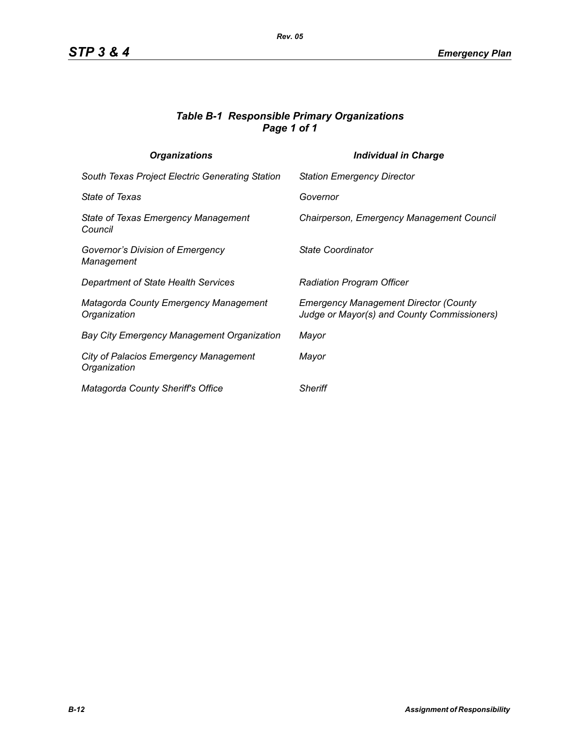### *Table B-1 Responsible Primary Organizations Page 1 of 1*

| <b>Organizations</b>                                         | <b>Individual in Charge</b>                                                                 |
|--------------------------------------------------------------|---------------------------------------------------------------------------------------------|
| South Texas Project Electric Generating Station              | <b>Station Emergency Director</b>                                                           |
| <b>State of Texas</b>                                        | Governor                                                                                    |
| State of Texas Emergency Management<br>Council               | Chairperson, Emergency Management Council                                                   |
| Governor's Division of Emergency<br>Management               | State Coordinator                                                                           |
| Department of State Health Services                          | <b>Radiation Program Officer</b>                                                            |
| <b>Matagorda County Emergency Management</b><br>Organization | <b>Emergency Management Director (County</b><br>Judge or Mayor(s) and County Commissioners) |
| <b>Bay City Emergency Management Organization</b>            | Mayor                                                                                       |
| <b>City of Palacios Emergency Management</b><br>Organization | Mayor                                                                                       |
| Matagorda County Sheriff's Office                            | <b>Sheriff</b>                                                                              |